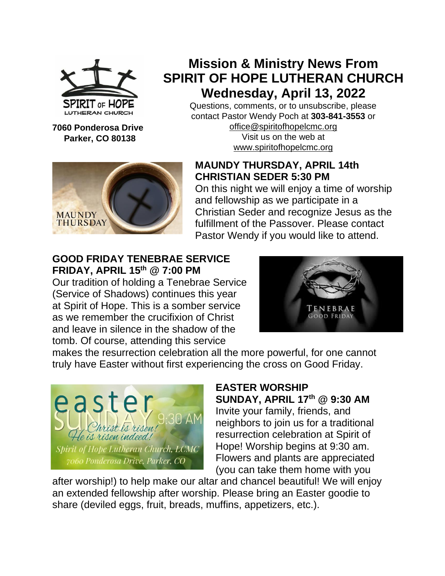

**7060 Ponderosa Drive Parker, CO 80138**

**MAUNDY** THURSDAY

# **Mission & Ministry News From SPIRIT OF HOPE LUTHERAN CHURCH Wednesday, April 13, 2022**

Questions, comments, or to unsubscribe, please contact Pastor Wendy Poch at **303-841-3553** or [office@spiritofhopelcmc.org](mailto:office@spiritofhopelcmc.org) Visit us on the web at [www.spiritofhopelcmc.org](http://www.spiritofhopelcmc.org/)

# **MAUNDY THURSDAY, APRIL 14th CHRISTIAN SEDER 5:30 PM**

On this night we will enjoy a time of worship and fellowship as we participate in a Christian Seder and recognize Jesus as the fulfillment of the Passover. Please contact Pastor Wendy if you would like to attend.

## **GOOD FRIDAY TENEBRAE SERVICE FRIDAY, APRIL 15th @ 7:00 PM**

Our tradition of holding a Tenebrae Service (Service of Shadows) continues this year at Spirit of Hope. This is a somber service as we remember the crucifixion of Christ and leave in silence in the shadow of the tomb. Of course, attending this service



makes the resurrection celebration all the more powerful, for one cannot truly have Easter without first experiencing the cross on Good Friday.

STP is risen indeed. Spirit of Hope Lutheran Church, LCMC 7060 Ponderosa Drive, Parker, CO

## **EASTER WORSHIP SUNDAY, APRIL 17th @ 9:30 AM** Invite your family, friends, and neighbors to join us for a traditional resurrection celebration at Spirit of Hope! Worship begins at 9:30 am. Flowers and plants are appreciated (you can take them home with you

after worship!) to help make our altar and chancel beautiful! We will enjoy an extended fellowship after worship. Please bring an Easter goodie to share (deviled eggs, fruit, breads, muffins, appetizers, etc.).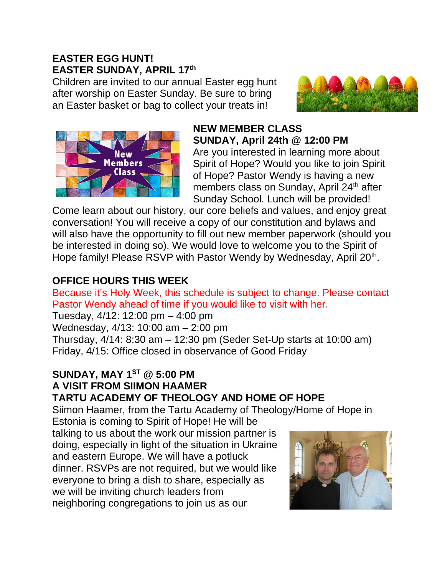# **EASTER EGG HUNT! EASTER SUNDAY, APRIL 17th**

Children are invited to our annual Easter egg hunt after worship on Easter Sunday. Be sure to bring an Easter basket or bag to collect your treats in!





# **NEW MEMBER CLASS SUNDAY, April 24th @ 12:00 PM**

Are you interested in learning more about Spirit of Hope? Would you like to join Spirit of Hope? Pastor Wendy is having a new members class on Sunday, April 24<sup>th</sup> after Sunday School. Lunch will be provided!

Come learn about our history, our core beliefs and values, and enjoy great conversation! You will receive a copy of our constitution and bylaws and will also have the opportunity to fill out new member paperwork (should you be interested in doing so). We would love to welcome you to the Spirit of Hope family! Please RSVP with Pastor Wendy by Wednesday, April 20<sup>th</sup>.

# **OFFICE HOURS THIS WEEK**

Because it's Holy Week, this schedule is subject to change. Please contact Pastor Wendy ahead of time if you would like to visit with her.

Tuesday, 4/12: 12:00 pm – 4:00 pm

Wednesday, 4/13: 10:00 am – 2:00 pm

Thursday, 4/14: 8:30 am – 12:30 pm (Seder Set-Up starts at 10:00 am) Friday, 4/15: Office closed in observance of Good Friday

## **SUNDAY, MAY 1ST @ 5:00 PM A VISIT FROM SIIMON HAAMER TARTU ACADEMY OF THEOLOGY AND HOME OF HOPE**

Siimon Haamer, from the Tartu Academy of Theology/Home of Hope in

Estonia is coming to Spirit of Hope! He will be talking to us about the work our mission partner is doing, especially in light of the situation in Ukraine and eastern Europe. We will have a potluck dinner. RSVPs are not required, but we would like everyone to bring a dish to share, especially as we will be inviting church leaders from neighboring congregations to join us as our

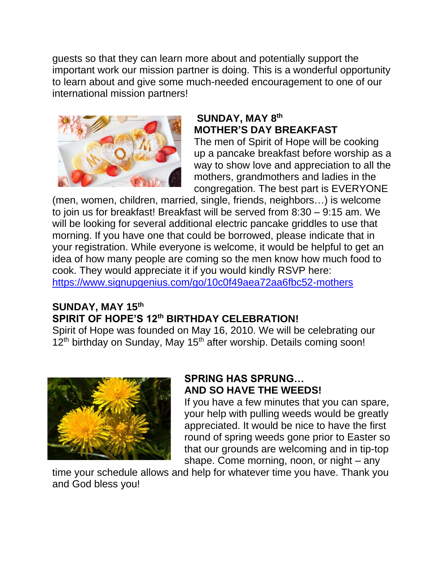guests so that they can learn more about and potentially support the important work our mission partner is doing. This is a wonderful opportunity to learn about and give some much-needed encouragement to one of our international mission partners!



# **SUNDAY, MAY 8th MOTHER'S DAY BREAKFAST**

The men of Spirit of Hope will be cooking up a pancake breakfast before worship as a way to show love and appreciation to all the mothers, grandmothers and ladies in the congregation. The best part is EVERYONE

(men, women, children, married, single, friends, neighbors…) is welcome to join us for breakfast! Breakfast will be served from 8:30 – 9:15 am. We will be looking for several additional electric pancake griddles to use that morning. If you have one that could be borrowed, please indicate that in your registration. While everyone is welcome, it would be helpful to get an idea of how many people are coming so the men know how much food to cook. They would appreciate it if you would kindly RSVP here: <https://www.signupgenius.com/go/10c0f49aea72aa6fbc52-mothers>

# **SUNDAY, MAY 15th SPIRIT OF HOPE'S 12th BIRTHDAY CELEBRATION!**

Spirit of Hope was founded on May 16, 2010. We will be celebrating our  $12<sup>th</sup>$  birthday on Sunday, May  $15<sup>th</sup>$  after worship. Details coming soon!



## **SPRING HAS SPRUNG… AND SO HAVE THE WEEDS!**

If you have a few minutes that you can spare, your help with pulling weeds would be greatly appreciated. It would be nice to have the first round of spring weeds gone prior to Easter so that our grounds are welcoming and in tip-top shape. Come morning, noon, or night – any

time your schedule allows and help for whatever time you have. Thank you and God bless you!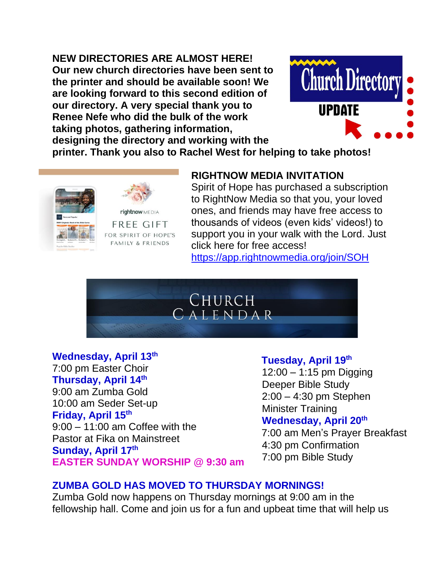**NEW DIRECTORIES ARE ALMOST HERE! Our new church directories have been sent to the printer and should be available soon! We are looking forward to this second edition of our directory. A very special thank you to Renee Nefe who did the bulk of the work taking photos, gathering information, designing the directory and working with the** 



**printer. Thank you also to Rachel West for helping to take photos!**



## **RIGHTNOW MEDIA INVITATION**

Spirit of Hope has purchased a subscription to RightNow Media so that you, your loved ones, and friends may have free access to thousands of videos (even kids' videos!) to support you in your walk with the Lord. Just click here for free access!

<https://app.rightnowmedia.org/join/SOH>



**Wednesday, April 13th** 7:00 pm Easter Choir **Thursday, April 14th** 9:00 am Zumba Gold 10:00 am Seder Set-up **Friday, April 15th** 9:00 – 11:00 am Coffee with the Pastor at Fika on Mainstreet **Sunday, April 17 th EASTER SUNDAY WORSHIP @ 9:30 am** 

#### **Tuesday, April 19th**

12:00 – 1:15 pm Digging Deeper Bible Study 2:00 – 4:30 pm Stephen Minister Training **Wednesday, April 20th**

7:00 am Men's Prayer Breakfast 4:30 pm Confirmation 7:00 pm Bible Study

## **ZUMBA GOLD HAS MOVED TO THURSDAY MORNINGS!**

Zumba Gold now happens on Thursday mornings at 9:00 am in the fellowship hall. Come and join us for a fun and upbeat time that will help us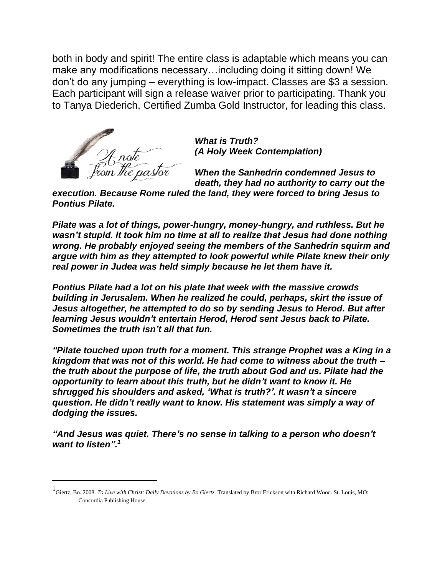both in body and spirit! The entire class is adaptable which means you can make any modifications necessary…including doing it sitting down! We don't do any jumping – everything is low-impact. Classes are \$3 a session. Each participant will sign a release waiver prior to participating. Thank you to Tanya Diederich, Certified Zumba Gold Instructor, for leading this class.



*What is Truth? (A Holy Week Contemplation)*

*When the Sanhedrin condemned Jesus to death, they had no authority to carry out the* 

*execution. Because Rome ruled the land, they were forced to bring Jesus to Pontius Pilate.*

*Pilate was a lot of things, power-hungry, money-hungry, and ruthless. But he wasn't stupid. It took him no time at all to realize that Jesus had done nothing wrong. He probably enjoyed seeing the members of the Sanhedrin squirm and argue with him as they attempted to look powerful while Pilate knew their only real power in Judea was held simply because he let them have it.*

*Pontius Pilate had a lot on his plate that week with the massive crowds building in Jerusalem. When he realized he could, perhaps, skirt the issue of Jesus altogether, he attempted to do so by sending Jesus to Herod. But after learning Jesus wouldn't entertain Herod, Herod sent Jesus back to Pilate. Sometimes the truth isn't all that fun.*

*"Pilate touched upon truth for a moment. This strange Prophet was a King in a kingdom that was not of this world. He had come to witness about the truth – the truth about the purpose of life, the truth about God and us. Pilate had the opportunity to learn about this truth, but he didn't want to know it. He shrugged his shoulders and asked, 'What is truth?'. It wasn't a sincere question. He didn't really want to know. His statement was simply a way of dodging the issues.*

*"And Jesus was quiet. There's no sense in talking to a person who doesn't want to listen". 1*

<sup>1</sup> Giertz, Bo. 2008. *To Live with Christ: Daily Devotions by Bo Giertz.* Translated by Bror Erickson with Richard Wood. St. Louis, MO: Concordia Publishing House.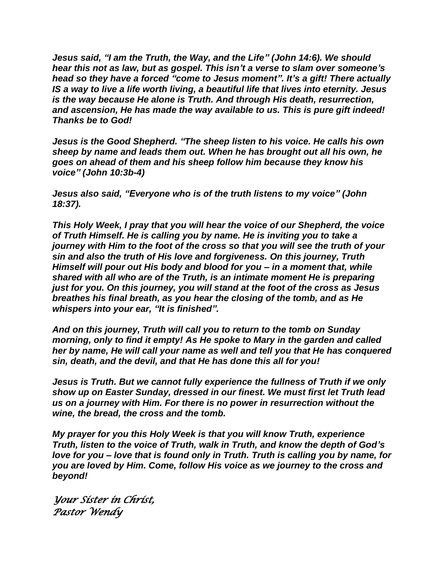*Jesus said, "I am the Truth, the Way, and the Life" (John 14:6). We should hear this not as law, but as gospel. This isn't a verse to slam over someone's head so they have a forced "come to Jesus moment". It's a gift! There actually IS a way to live a life worth living, a beautiful life that lives into eternity. Jesus is the way because He alone is Truth. And through His death, resurrection, and ascension, He has made the way available to us. This is pure gift indeed! Thanks be to God!*

*Jesus is the Good Shepherd. "The sheep listen to his voice. He calls his own sheep by name and leads them out. When he has brought out all his own, he goes on ahead of them and his sheep follow him because they know his voice" (John 10:3b-4)*

*Jesus also said, "Everyone who is of the truth listens to my voice" (John 18:37).*

*This Holy Week, I pray that you will hear the voice of our Shepherd, the voice of Truth Himself. He is calling you by name. He is inviting you to take a journey with Him to the foot of the cross so that you will see the truth of your sin and also the truth of His love and forgiveness. On this journey, Truth Himself will pour out His body and blood for you – in a moment that, while shared with all who are of the Truth, is an intimate moment He is preparing just for you. On this journey, you will stand at the foot of the cross as Jesus breathes his final breath, as you hear the closing of the tomb, and as He whispers into your ear, "It is finished".* 

*And on this journey, Truth will call you to return to the tomb on Sunday morning, only to find it empty! As He spoke to Mary in the garden and called her by name, He will call your name as well and tell you that He has conquered sin, death, and the devil, and that He has done this all for you!* 

*Jesus is Truth. But we cannot fully experience the fullness of Truth if we only show up on Easter Sunday, dressed in our finest. We must first let Truth lead us on a journey with Him. For there is no power in resurrection without the wine, the bread, the cross and the tomb.*

*My prayer for you this Holy Week is that you will know Truth, experience Truth, listen to the voice of Truth, walk in Truth, and know the depth of God's love for you – love that is found only in Truth. Truth is calling you by name, for you are loved by Him. Come, follow His voice as we journey to the cross and beyond!* 

*Your Sister in Christ, Pastor Wendy*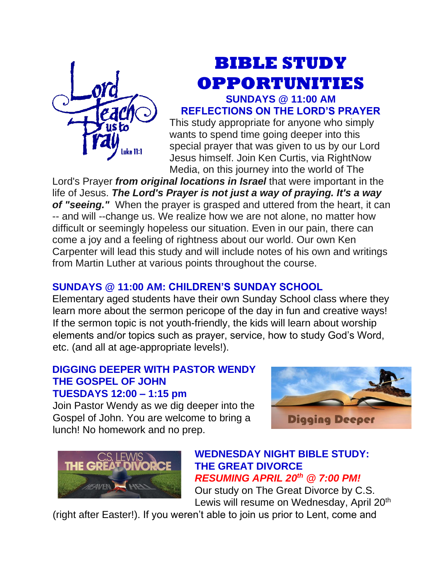

# **BIBLE STUDY OPPORTUNITIES**

**SUNDAYS @ 11:00 AM REFLECTIONS ON THE LORD'S PRAYER**  This study appropriate for anyone who simply wants to spend time going deeper into this special prayer that was given to us by our Lord Jesus himself. Join Ken Curtis, via RightNow Media, on this journey into the world of The

Lord's Prayer *from original locations in Israel* that were important in the life of Jesus. *The Lord's Prayer is not just a way of praying. It's a way of "seeing."* When the prayer is grasped and uttered from the heart, it can -- and will --change us. We realize how we are not alone, no matter how difficult or seemingly hopeless our situation. Even in our pain, there can come a joy and a feeling of rightness about our world. Our own Ken Carpenter will lead this study and will include notes of his own and writings from Martin Luther at various points throughout the course.

## **SUNDAYS @ 11:00 AM: CHILDREN'S SUNDAY SCHOOL**

Elementary aged students have their own Sunday School class where they learn more about the sermon pericope of the day in fun and creative ways! If the sermon topic is not youth-friendly, the kids will learn about worship elements and/or topics such as prayer, service, how to study God's Word, etc. (and all at age-appropriate levels!).

#### **DIGGING DEEPER WITH PASTOR WENDY THE GOSPEL OF JOHN TUESDAYS 12:00 – 1:15 pm**

Join Pastor Wendy as we dig deeper into the Gospel of John. You are welcome to bring a lunch! No homework and no prep.





# **WEDNESDAY NIGHT BIBLE STUDY: THE GREAT DIVORCE** *RESUMING APRIL 20th @ 7:00 PM!*

Our study on The Great Divorce by C.S. Lewis will resume on Wednesday, April 20<sup>th</sup>

(right after Easter!). If you weren't able to join us prior to Lent, come and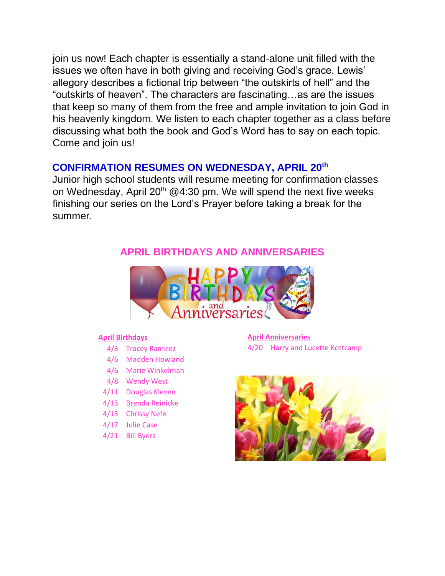join us now! Each chapter is essentially a stand-alone unit filled with the issues we often have in both giving and receiving God's grace. Lewis' allegory describes a fictional trip between "the outskirts of hell" and the "outskirts of heaven". The characters are fascinating…as are the issues that keep so many of them from the free and ample invitation to join God in his heavenly kingdom. We listen to each chapter together as a class before discussing what both the book and God's Word has to say on each topic. Come and join us!

#### **CONFIRMATION RESUMES ON WEDNESDAY, APRIL 20th**

Junior high school students will resume meeting for confirmation classes on Wednesday, April 20<sup>th</sup>  $@4:30$  pm. We will spend the next five weeks finishing our series on the Lord's Prayer before taking a break for the summer.

# **APRIL BIRTHDAYS AND ANNIVERSARIES**



#### **April Birthdays**

- 4/3 Tracey Ramirez
- 4/6 Madden Howland
- 4/6 Marie Winkelman
- 4/8 Wendy West
- 4/11 Douglas Kleven
- 4/13 Brenda Reinicke
- 4/15 Chrissy Nefe
- 4/17 Julie Case
- 4/21 Bill Byers

**April Anniversaries** 4/20 Harry and Lucette Kottcamp

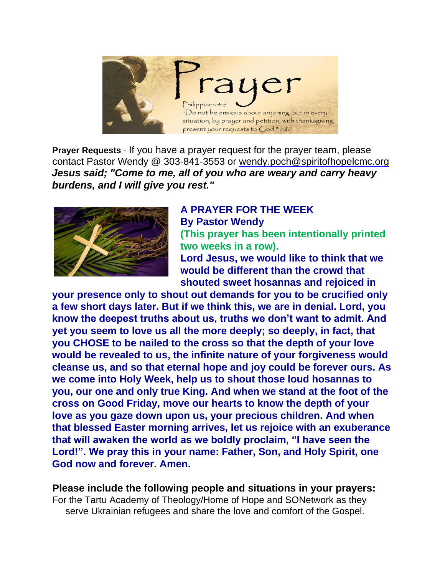

**Prayer Requests** - If you have a prayer request for the prayer team, please contact Pastor Wendy @ 303-841-3553 or wendy.poch@spiritofhopelcmc.org *Jesus said; "Come to me, all of you who are weary and carry heavy burdens, and I will give you rest."*



# **A PRAYER FOR THE WEEK By Pastor Wendy**

**(This prayer has been intentionally printed two weeks in a row).**

**Lord Jesus, we would like to think that we would be different than the crowd that shouted sweet hosannas and rejoiced in** 

**your presence only to shout out demands for you to be crucified only a few short days later. But if we think this, we are in denial. Lord, you know the deepest truths about us, truths we don't want to admit. And yet you seem to love us all the more deeply; so deeply, in fact, that you CHOSE to be nailed to the cross so that the depth of your love would be revealed to us, the infinite nature of your forgiveness would cleanse us, and so that eternal hope and joy could be forever ours. As we come into Holy Week, help us to shout those loud hosannas to you, our one and only true King. And when we stand at the foot of the cross on Good Friday, move our hearts to know the depth of your love as you gaze down upon us, your precious children. And when that blessed Easter morning arrives, let us rejoice with an exuberance that will awaken the world as we boldly proclaim, "I have seen the Lord!". We pray this in your name: Father, Son, and Holy Spirit, one God now and forever. Amen.**

**Please include the following people and situations in your prayers:** 

For the Tartu Academy of Theology/Home of Hope and SONetwork as they serve Ukrainian refugees and share the love and comfort of the Gospel.